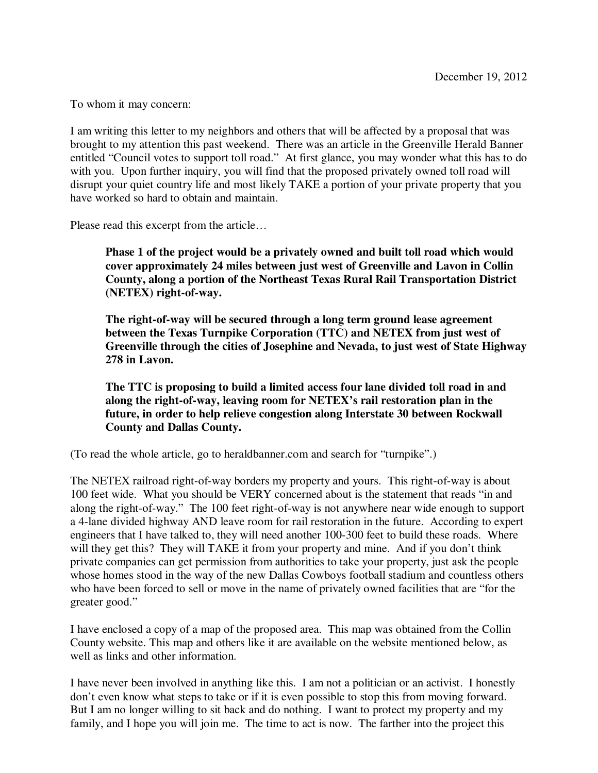To whom it may concern:

I am writing this letter to my neighbors and others that will be affected by a proposal that was brought to my attention this past weekend. There was an article in the Greenville Herald Banner entitled "Council votes to support toll road." At first glance, you may wonder what this has to do with you. Upon further inquiry, you will find that the proposed privately owned toll road will disrupt your quiet country life and most likely TAKE a portion of your private property that you have worked so hard to obtain and maintain.

Please read this excerpt from the article…

**Phase 1 of the project would be a privately owned and built toll road which would cover approximately 24 miles between just west of Greenville and Lavon in Collin County, along a portion of the Northeast Texas Rural Rail Transportation District (NETEX) right-of-way.** 

**The right-of-way will be secured through a long term ground lease agreement between the Texas Turnpike Corporation (TTC) and NETEX from just west of Greenville through the cities of Josephine and Nevada, to just west of State Highway 278 in Lavon.** 

**The TTC is proposing to build a limited access four lane divided toll road in and along the right-of-way, leaving room for NETEX's rail restoration plan in the future, in order to help relieve congestion along Interstate 30 between Rockwall County and Dallas County.** 

(To read the whole article, go to heraldbanner.com and search for "turnpike".)

The NETEX railroad right-of-way borders my property and yours. This right-of-way is about 100 feet wide. What you should be VERY concerned about is the statement that reads "in and along the right-of-way." The 100 feet right-of-way is not anywhere near wide enough to support a 4-lane divided highway AND leave room for rail restoration in the future. According to expert engineers that I have talked to, they will need another 100-300 feet to build these roads. Where will they get this? They will TAKE it from your property and mine. And if you don't think private companies can get permission from authorities to take your property, just ask the people whose homes stood in the way of the new Dallas Cowboys football stadium and countless others who have been forced to sell or move in the name of privately owned facilities that are "for the greater good."

I have enclosed a copy of a map of the proposed area. This map was obtained from the Collin County website. This map and others like it are available on the website mentioned below, as well as links and other information.

I have never been involved in anything like this. I am not a politician or an activist. I honestly don't even know what steps to take or if it is even possible to stop this from moving forward. But I am no longer willing to sit back and do nothing. I want to protect my property and my family, and I hope you will join me. The time to act is now. The farther into the project this